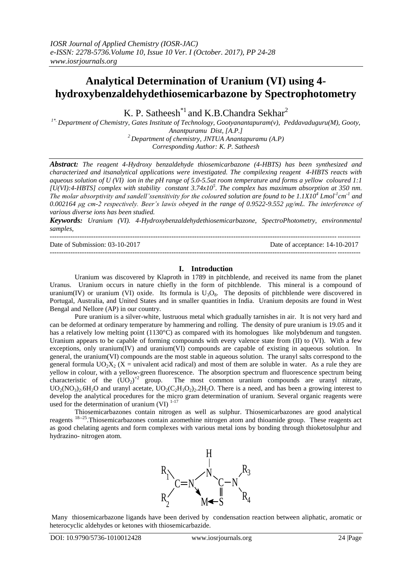# **Analytical Determination of Uranium (VI) using 4 hydroxybenzaldehydethiosemicarbazone by Spectrophotometry**

K. P. Satheesh<sup>\*1</sup> and K.B.Chandra Sekhar<sup>2</sup>

*1\*. Department of Chemistry, Gates Institute of Technology, Gootyanantapuram(v), Peddavaduguru(M), Gooty, Anantpuramu Dist, [A.P.] <sup>2</sup>Department of chemistry, JNTUA Anantapuramu (A.P)*

*Corresponding Author: K. P. Satheesh*

*Abstract: The reagent 4-Hydroxy benzaldehyde thiosemicarbazone (4-HBTS) has been synthesized and characterized and itsanalytical applications were investigated. The compilexing reagent 4-HBTS reacts with aqueous solution of U (VI) ion in the pH range of 5.0-5.5at room temperature and forms a yellow coloured 1:1 [U(VI):4-HBTS] complex with stability constant 3.74x10<sup>5</sup> . The complex has maximum absorption at 350 nm. The molar absorptivity and sandell'ssensitivity for the coloured solution are found to be*  $1.1X10^4$  *Lmol<sup>-1</sup> cm<sup>-1</sup> and 0.002164 μg cm-2 respectively. Beer's lawis obeyed in the range of 0.9522-9.552 μg/mL. The interference of various diverse ions has been studied.*

*Keywords: Uranium (VI). 4-Hydroxybenzaldehydethiosemicarbazone, SpectroPhotometry, environmental samples,*

--------------------------------------------------------------------------------------------------------------------------------------- Date of Submission: 03-10-2017 Date of acceptance: 14-10-2017 ---------------------------------------------------------------------------------------------------------------------------------------

# **I. Introduction**

Uranium was discovered by Klaproth in 1789 in pitchblende, and received its name from the planet Uranus. Uranium occurs in nature chiefly in the form of pitchblende. This mineral is a compound of uranium(IV) or uranium (VI) oxide. Its formula is  $U_3O_8$ . The deposits of pitchblende were discovered in Portugal, Australia, and United States and in smaller quantities in India. Uranium deposits are found in West Bengal and Nellore (AP) in our country.

Pure uranium is a silver-white, lustruous metal which gradually tarnishes in air. It is not very hard and can be deformed at ordinary temperature by hammering and rolling. The density of pure uranium is 19.05 and it has a relatively low melting point (1130°C) as compared with its homologues like molybdenum and tungsten. Uranium appears to be capable of forming compounds with every valence state from (II) to (VI). With a few exceptions, only uranium(IV) and uranium(VI) compounds are capable of existing in aqueous solution. In general, the uranium(VI) compounds are the most stable in aqueous solution. The uranyl salts correspond to the general formula  $UO_2X_2$  (X = univalent acid radical) and most of them are soluble in water. As a rule they are yellow in colour, with a yellow-green fluorescence. The absorption spectrum and fluorescence spectrum being characteristic of the  $(UO_2)^{2}$  group. The most common uranium compounds are uranyl nitrate,  $UO_2(NO_3)_2.6H_2O$  and uranyl acetate,  $UO_2(C_2H_3O_2)_2.2H_2O$ . There is a need, and has been a growing interest to develop the analytical procedures for the micro gram determination of uranium. Several organic reagents were used for the determination of uranium (VI)  $1-17$ 

Thiosemicarbazones contain nitrogen as well as sulphur. Thiosemicarbazones are good analytical reagents <sup>18--25</sup>. Thiosemicarbazones contain azomethine nitrogen atom and thioamide group. These reagents act as good chelating agents and form complexes with various metal ions by bonding through thioketosulphur and hydrazino- nitrogen atom.



Many thiosemicarbazone ligands have been derived by condensation reaction between aliphatic, aromatic or heterocyclic aldehydes or ketones with thiosemicarbazide.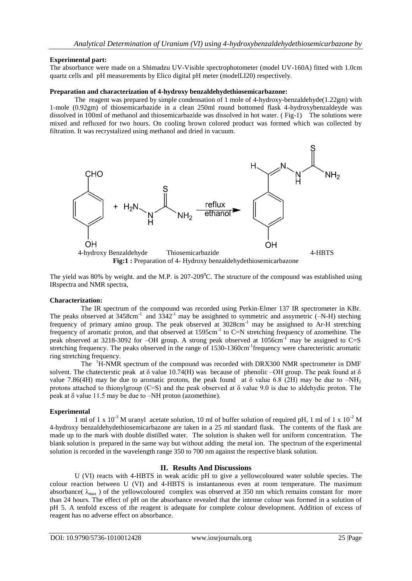# **Experimental part:**

The absorbance were made on a Shimadzu UV-Visible spectrophotometer (model UV-160A) fitted with 1.0cm quartz cells and pH measurements by Elico digital pH meter (modelLI20) respectively.

### **Preparation and characterization of 4-hydroxy benzaldehydethiosemicarbazone:**

The reagent was prepared by simple condensation of 1 mole of 4-hydroxy-benzaldehyde(1.22gm) with 1-mole (0.92gm) of thiosemicarbazide in a clean 250ml round bottomed flask 4-hydroxybenzaldeyde was dissolved in 100ml of methanol and thiosemicarbazide was dissolved in hot water. ( Fig-1) The solutions were mixed and refluxed for two hours. On cooling brown colored product was formed which was collected by filtration. It was recrystalized using methanol and dried in vacuum.



The yield was 80% by weight. and the M.P. is  $207-209^{\circ}$ C. The structure of the compound was established using IRspectra and NMR spectra,

### **Characterization:**

The IR spectrum of the compound was recorded using Perkin-Elmer 137 IR spectrometer in KBr. The peaks observed at  $3458 \text{cm}^{-1}$  and  $3342^{-1}$  may be assigned to symmetric and assymetric (-N-H) steching frequency of primary amino group. The peak observed at 3028cm<sup>-1</sup> may be assighned to Ar-H stretching frequency of aromatic proton, and that observed at 1595cm<sup>-1</sup> to C=N stretching frequency of azomethine. The peak observed at 3218-3092 for –OH group. A strong peak observed at 1056cm<sup>-1</sup> may be assigned to C=S stretching frequency. The peaks observed in the range of 1530-1360cm<sup>-1</sup>frequency were charecteristic aromatic ring stretching frequency.

The <sup>1</sup>H-NMR spectrum of the compound was recorded with DRX300 NMR spectrometer in DMF solvent. The chatecterstic peak at  $\delta$  value 10.74(H) was because of phenolic –OH group. The peak found at  $\delta$ value 7.86(4H) may be due to aromatic protons, the peak found at  $\delta$  value 6.8 (2H) may be due to –NH<sub>2</sub> protons attached to thionylgroup (C=S) and the peak observed at  $\delta$  value 9.0 is due to aldehydic proton. The peak at δ value 11.5 may be due to –NH proton (azomethine).

### **Experimental**

1 ml of 1 x  $10^{-3}$  M uranyl acetate solution, 10 ml of buffer solution of required pH, 1 ml of 1 x  $10^{-2}$  M 4-hydroxy benzaldehydethiosemicarbazone are taken in a 25 ml standard flask. The contents of the flask are made up to the mark with double distilled water. The solution is shaken well for uniform concentration. The blank solution is prepared in the same way but without adding the metal ion. The spectrum of the experimental solution is recorded in the wavelength range 350 to 700 nm against the respective blank solution.

### **II. Results And Discussions**

U (VI) reacts with 4-HBTS in weak acidic pH to give a yellowcoloured water soluble species. The colour reaction between U (VI) and 4-HBTS is instantaneous even at room temperature. The maximum absorbance( $\lambda_{\text{max}}$ ) of the yellowcoloured complex was observed at 350 nm which remains constant for more than 24 hours. The effect of pH on the absorbance revealed that the intense colour was formed in a solution of pH 5. A tenfold excess of the reagent is adequate for complete colour development. Addition of excess of reagent has no adverse effect on absorbance.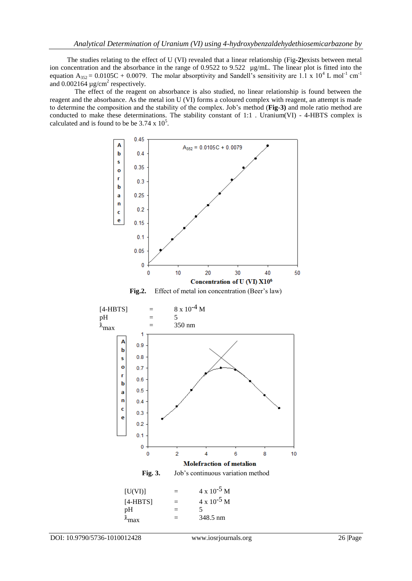The studies relating to the effect of U (VI) revealed that a linear relationship (Fig**-2)**exists between metal ion concentration and the absorbance in the range of 0.9522 to 9.522  $\mu$ g/mL. The linear plot is fitted into the equation  $A_{352} = 0.0105C + 0.0079$ . The molar absorptivity and Sandell's sensitivity are 1.1 x 10<sup>4</sup> L mol<sup>-1</sup> cm<sup>-1</sup> and  $0.002164 \mu$ g/cm<sup>2</sup> respectively.

The effect of the reagent on absorbance is also studied, no linear relationship is found between the reagent and the absorbance. As the metal ion U (VI) forms a coloured complex with reagent, an attempt is made to determine the composition and the stability of the complex. Job's method (**Fig-3)** and mole ratio method are conducted to make these determinations. The stability constant of 1:1 . Uranium(VI) - 4-HBTS complex is calculated and is found to be be  $3.74 \times 10^5$ .



| U(VI)      |     | $4 \times 10^{\circ}$ NI |
|------------|-----|--------------------------|
| $[4-HBTS]$ | $=$ | $4 \times 10^{-5}$ M     |
| pН         | $=$ |                          |
| л<br>^max  | $=$ | 348.5 nm                 |
|            |     |                          |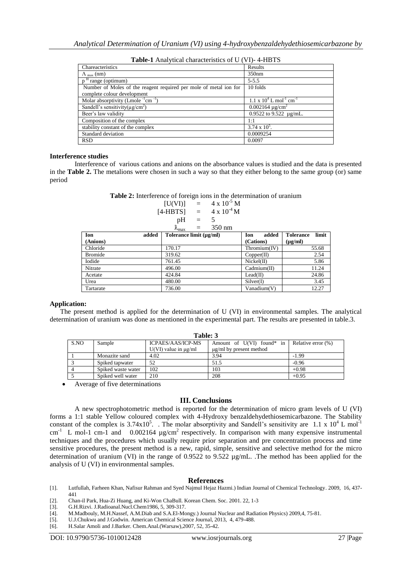| Chareacteristics                                                  | Results                                                |
|-------------------------------------------------------------------|--------------------------------------------------------|
| $\Lambda$ <sub>max</sub> (nm)                                     | 350 <sub>nm</sub>                                      |
| $pH$ range (optimum)                                              | $5 - 5.5$                                              |
| Number of Moles of the reagent required per mole of metal ion for | 10 folds                                               |
| complete colour development                                       |                                                        |
| Molar absorptivity (Lmole $^{-1}$ cm $^{-1}$ )                    | $1.1 \times 10^4$ L mol <sup>-1</sup> cm <sup>-1</sup> |
| Sandell's sensitivity( $\mu$ g/cm <sup>2</sup> )                  | $0.002164 \mu g/cm^2$                                  |
| Beer's law validity                                               | 0.9522 to $9.522 \mu$ g/mL.                            |
| Composition of the complex                                        | 1:1                                                    |
| stability constant of the complex                                 | $3.74 \times 10^5$ .                                   |
| Standard deviation                                                | 0.0009254                                              |
| <b>RSD</b>                                                        | 0.0097                                                 |

**Table-1** Analytical characteristics of U (VI)- 4-HBTS

#### **Interference studies**

Interference of various cations and anions on the absorbance values is studied and the data is presented in the **Table 2.** The metalions were chosen in such a way so that they either belong to the same group (or) same period

**Table 2:** Interference of foreign ions in the determination of uranium

$$
[U(VI)] = 4 \times 10^{-5} M
$$
  
\n
$$
[4-HBTS] = 4 \times 10^{-4} M
$$
  
\n
$$
pH = 5
$$
  
\n
$$
{}^{3} = 350 \text{ nm}
$$

| $v_{\rm max}$<br>ээл ши |       |                         |               |                           |  |  |
|-------------------------|-------|-------------------------|---------------|---------------------------|--|--|
| Ion                     | added | Tolerance limit (µg/ml) | added<br>Ion  | <b>Tolerance</b><br>limit |  |  |
| (Anions)                |       |                         | (Cations)     | $(\mu g/ml)$              |  |  |
| Chloride                |       | 170.17                  | Thromium (IV) | 55.68                     |  |  |
| <b>Bromide</b>          |       | 319.62                  | Copper(II)    | 2.54                      |  |  |
| Iodide                  |       | 761.45                  | Nickel(II)    | 5.86                      |  |  |
| Nitrate                 |       | 496.00                  | Cadmium(II)   | 11.24                     |  |  |
| Acetate                 |       | 424.84                  | Lead(II)      | 24.86                     |  |  |
| Urea                    |       | 480.00                  | Silver(D)     | 3.45                      |  |  |
| Tartarate               |       | 736.00                  | Vanadium(V)   | 12.27                     |  |  |

### **Application:**

 The present method is applied for the determination of U (VI) in environmental samples. The analytical determination of uranium was done as mentioned in the experimental part. The results are presented in table.3.

**Table: 3**

| 1 avic. J |                    |                             |                              |                    |  |  |  |
|-----------|--------------------|-----------------------------|------------------------------|--------------------|--|--|--|
| S.NO      | Sample             | ICPAES/AAS/ICP-MS           | Amount of U(VI) found* in    | Relative error (%) |  |  |  |
|           |                    | $U(VI)$ value in $\mu$ g/ml | $\mu$ g/ml by present method |                    |  |  |  |
|           | Monazite sand      | 4.02                        | 3.94                         | $-1.99$            |  |  |  |
|           | Spiked tapwater    | 52                          | 51.5                         | $-0.96$            |  |  |  |
|           | Spiked waste water | 102                         | 103                          | $+0.98$            |  |  |  |
|           | Spiked well water  | 210                         | 208                          | $+0.95$            |  |  |  |
|           |                    |                             |                              |                    |  |  |  |

Average of five determinations

### **III. Conclusions**

A new spectrophotometric method is reported for the determination of micro gram levels of U (VI) forms a 1:1 stable Yellow coloured complex with 4-Hydroxy benzaldehydethiosemicarbazone. The Stability constant of the complex is  $3.74 \times 10^5$ . The molar absorptivity and Sandell's sensitivity are 1.1 x 10<sup>4</sup> L mol<sup>-1</sup>  $cm^{-1}$  L mol-1 cm-1 and 0.002164  $\mu$ g/cm<sup>2</sup> respectively. In comparison with many expensive instrumental techniques and the procedures which usually require prior separation and pre concentration process and time sensitive procedures, the present method is a new, rapid, simple, sensitive and selective method for the micro determination of uranium (VI) in the range of 0.9522 to 9.522 µg/mL. .The method has been applied for the analysis of U (VI) in environmental samples.

### **References**

- [1]. Lutfullah, Farheen Khan, Nafisur Rahman and Syed Najmul Hejaz Hazmi.) Indian Journal of Chemical Technology. 2009, 16, 437- 441
- [2]. Chan-il Park, Hua-Zi Huang, and Ki-Won ChaBull. Korean Chem. Soc. 2001. 22, 1-3
- [3]. G.H.Rizvi. J.Radioanal.Nucl.Chem1986, 5, 309-317.
- [4]. M.Madbouly, M.H.Nassef, A.M.Diab and S.A.El-Mongy.) Journal Nuclear and Radiation Physics) 2009,4, 75-81.
- [5]. U.J.Chukwu and J.Godwin. American Chemical Science Journal, 2013, 4, 479-488.
- [6]. H.Salar Amoli and J.Barker. Chem.Anal.(Warsaw),2007, 52, 35-42.